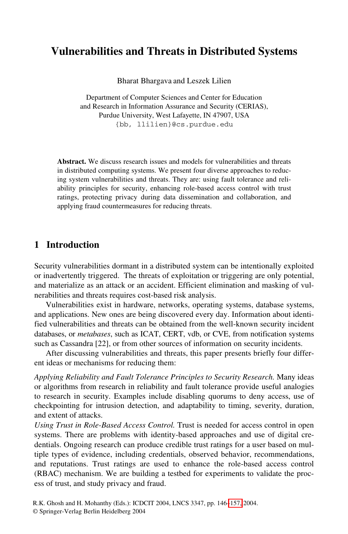# **Vulnerabilities and Threats in Distributed Systems**

Bharat Bhargava and Leszek Lilien

Department of Computer Sciences and Center for Education and Research in Information Assurance and Security (CERIAS), Purdue University, West Lafayette, IN 47907, USA {bb, llilien}@cs.purdue.edu

**Abstract.** We discuss research issues and models for vulnerabilities and threats in distributed computing systems. We present four diverse approaches to reducing system vulnerabilities and threats. They are: using fault tolerance and reliability principles for security, enhancing role-based access control with trust ratings, protecting privacy during data dissemination and collaboration, and applying fraud countermeasures for reducing threats.

## **1 Introduction**

Security vulnerabilities dormant in a distributed system can be intentionally exploited or inadvertently triggered. The threats of exploitation or triggering are only potential, and materialize as an attack or an accident. Efficient elimination and masking of vulnerabilities and threats requires cost-based risk analysis.

Vulnerabilities exist in hardware, networks, operating systems, database systems, and applications. New ones are being discovered every day. Information about identified vulnerabilities and threats can be obtained from the well-known security incident databases, or *metabases*, such as ICAT, CERT, vdb, or CVE, from notification systems such as Cassandra [22], or from other sources of information on security incidents.

After discussing vulnerabilities and threats, this paper presents briefly four different ideas or mechanisms for reducing them:

*Applying Reliability and Fault Tolerance Principles to Security Research.* Many ideas or algorithms from research in reliability and fault tolerance provide useful analogies to research in security. Examples include disabling quorums to deny access, use of checkpointing for intrusion detection, and adaptability to timing, severity, duration, and extent of attacks.

*Using Trust in Role-Based Access Control.* Trust is needed for access control in open systems. There are problems with identity-based approaches and use of digital credentials. Ongoing research can produce credible trust ratings for a user based on multiple types of evidence, including credentials, observed behavior, recommendations, and reputations. Trust ratings are used to enhance the role-based access control (RBAC) mechanism. We are building a testbed for experiments to validate the process of trust, and study privacy and fraud.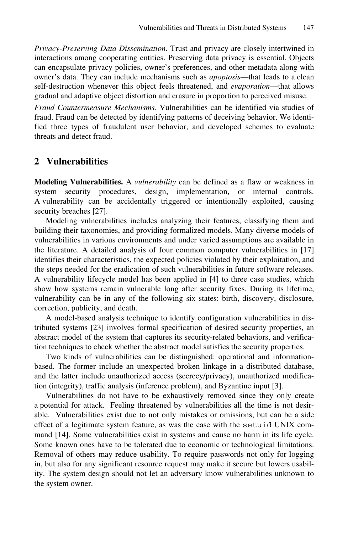*Privacy-Preserving Data Dissemination.* Trust and privacy are closely intertwined in interactions among cooperating entities. Preserving data privacy is essential. Objects can encapsulate privacy policies, owner's preferences, and other metadata along with owner's data. They can include mechanisms such as *apoptosis*—that leads to a clean self-destruction whenever this object feels threatened, and *evaporation*—that allows gradual and adaptive object distortion and erasure in proportion to perceived misuse.

*Fraud Countermeasure Mechanisms.* Vulnerabilities can be identified via studies of fraud. Fraud can be detected by identifying patterns of deceiving behavior. We identified three types of fraudulent user behavior, and developed schemes to evaluate threats and detect fraud.

## **2 Vulnerabilities**

**Modeling Vulnerabilities.** A *vulnerability* can be defined as a flaw or weakness in system security procedures, design, implementation, or internal controls. A vulnerability can be accidentally triggered or intentionally exploited, causing security breaches [27].

Modeling vulnerabilities includes analyzing their features, classifying them and building their taxonomies, and providing formalized models. Many diverse models of vulnerabilities in various environments and under varied assumptions are available in the literature. A detailed analysis of four common computer vulnerabilities in [17] identifies their characteristics, the expected policies violated by their exploitation, and the steps needed for the eradication of such vulnerabilities in future software releases. A vulnerability lifecycle model has been applied in [4] to three case studies, which show how systems remain vulnerable long after security fixes. During its lifetime, vulnerability can be in any of the following six states: birth, discovery, disclosure, correction, publicity, and death.

A model-based analysis technique to identify configuration vulnerabilities in distributed systems [23] involves formal specification of desired security properties, an abstract model of the system that captures its security-related behaviors, and verification techniques to check whether the abstract model satisfies the security properties.

Two kinds of vulnerabilities can be distinguished: operational and informationbased. The former include an unexpected broken linkage in a distributed database, and the latter include unauthorized access (secrecy/privacy), unauthorized modification (integrity), traffic analysis (inference problem), and Byzantine input [3].

Vulnerabilities do not have to be exhaustively removed since they only create a potential for attack. Feeling threatened by vulnerabilities all the time is not desirable. Vulnerabilities exist due to not only mistakes or omissions, but can be a side effect of a legitimate system feature, as was the case with the setuid UNIX command [14]. Some vulnerabilities exist in systems and cause no harm in its life cycle. Some known ones have to be tolerated due to economic or technological limitations. Removal of others may reduce usability. To require passwords not only for logging in, but also for any significant resource request may make it secure but lowers usability. The system design should not let an adversary know vulnerabilities unknown to the system owner.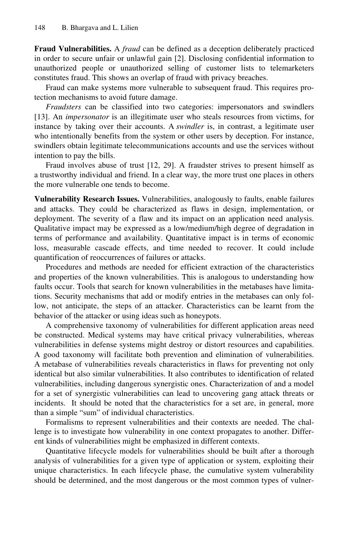**Fraud Vulnerabilities.** A *fraud* can be defined as a deception deliberately practiced in order to secure unfair or unlawful gain [2]. Disclosing confidential information to unauthorized people or unauthorized selling of customer lists to telemarketers constitutes fraud. This shows an overlap of fraud with privacy breaches.

Fraud can make systems more vulnerable to subsequent fraud. This requires protection mechanisms to avoid future damage.

*Fraudsters* can be classified into two categories: impersonators and swindlers [13]. An *impersonator* is an illegitimate user who steals resources from victims, for instance by taking over their accounts. A *swindler* is, in contrast, a legitimate user who intentionally benefits from the system or other users by deception. For instance, swindlers obtain legitimate telecommunications accounts and use the services without intention to pay the bills.

Fraud involves abuse of trust [12, 29]. A fraudster strives to present himself as a trustworthy individual and friend. In a clear way, the more trust one places in others the more vulnerable one tends to become.

**Vulnerability Research Issues.** Vulnerabilities, analogously to faults, enable failures and attacks. They could be characterized as flaws in design, implementation, or deployment. The severity of a flaw and its impact on an application need analysis. Qualitative impact may be expressed as a low/medium/high degree of degradation in terms of performance and availability. Quantitative impact is in terms of economic loss, measurable cascade effects, and time needed to recover. It could include quantification of reoccurrences of failures or attacks.

Procedures and methods are needed for efficient extraction of the characteristics and properties of the known vulnerabilities. This is analogous to understanding how faults occur. Tools that search for known vulnerabilities in the metabases have limitations. Security mechanisms that add or modify entries in the metabases can only follow, not anticipate, the steps of an attacker. Characteristics can be learnt from the behavior of the attacker or using ideas such as honeypots.

A comprehensive taxonomy of vulnerabilities for different application areas need be constructed. Medical systems may have critical privacy vulnerabilities, whereas vulnerabilities in defense systems might destroy or distort resources and capabilities. A good taxonomy will facilitate both prevention and elimination of vulnerabilities. A metabase of vulnerabilities reveals characteristics in flaws for preventing not only identical but also similar vulnerabilities. It also contributes to identification of related vulnerabilities, including dangerous synergistic ones. Characterization of and a model for a set of synergistic vulnerabilities can lead to uncovering gang attack threats or incidents. It should be noted that the characteristics for a set are, in general, more than a simple "sum" of individual characteristics.

Formalisms to represent vulnerabilities and their contexts are needed. The challenge is to investigate how vulnerability in one context propagates to another. Different kinds of vulnerabilities might be emphasized in different contexts.

Quantitative lifecycle models for vulnerabilities should be built after a thorough analysis of vulnerabilities for a given type of application or system, exploiting their unique characteristics. In each lifecycle phase, the cumulative system vulnerability should be determined, and the most dangerous or the most common types of vulner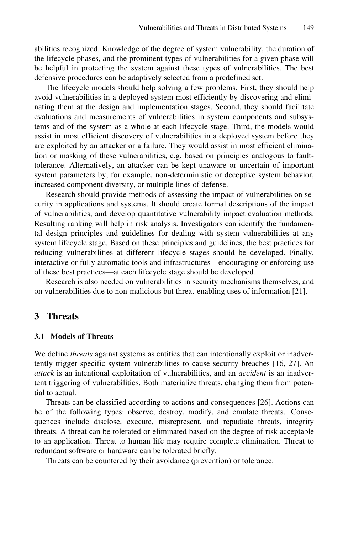abilities recognized. Knowledge of the degree of system vulnerability, the duration of the lifecycle phases, and the prominent types of vulnerabilities for a given phase will be helpful in protecting the system against these types of vulnerabilities. The best defensive procedures can be adaptively selected from a predefined set.

The lifecycle models should help solving a few problems. First, they should help avoid vulnerabilities in a deployed system most efficiently by discovering and eliminating them at the design and implementation stages. Second, they should facilitate evaluations and measurements of vulnerabilities in system components and subsystems and of the system as a whole at each lifecycle stage. Third, the models would assist in most efficient discovery of vulnerabilities in a deployed system before they are exploited by an attacker or a failure. They would assist in most efficient elimination or masking of these vulnerabilities, e.g. based on principles analogous to faulttolerance. Alternatively, an attacker can be kept unaware or uncertain of important system parameters by, for example, non-deterministic or deceptive system behavior, increased component diversity, or multiple lines of defense.

Research should provide methods of assessing the impact of vulnerabilities on security in applications and systems. It should create formal descriptions of the impact of vulnerabilities, and develop quantitative vulnerability impact evaluation methods. Resulting ranking will help in risk analysis. Investigators can identify the fundamental design principles and guidelines for dealing with system vulnerabilities at any system lifecycle stage. Based on these principles and guidelines, the best practices for reducing vulnerabilities at different lifecycle stages should be developed. Finally, interactive or fully automatic tools and infrastructures—encouraging or enforcing use of these best practices—at each lifecycle stage should be developed*.* 

Research is also needed on vulnerabilities in security mechanisms themselves, and on vulnerabilities due to non-malicious but threat-enabling uses of information [21].

### **3 Threats**

#### **3.1 Models of Threats**

We define *threats* against systems as entities that can intentionally exploit or inadvertently trigger specific system vulnerabilities to cause security breaches [16, 27]. An *attack* is an intentional exploitation of vulnerabilities, and an *accident* is an inadvertent triggering of vulnerabilities. Both materialize threats, changing them from potential to actual.

Threats can be classified according to actions and consequences [26]. Actions can be of the following types: observe, destroy, modify, and emulate threats. Consequences include disclose, execute, misrepresent, and repudiate threats, integrity threats. A threat can be tolerated or eliminated based on the degree of risk acceptable to an application. Threat to human life may require complete elimination. Threat to redundant software or hardware can be tolerated briefly.

Threats can be countered by their avoidance (prevention) or tolerance.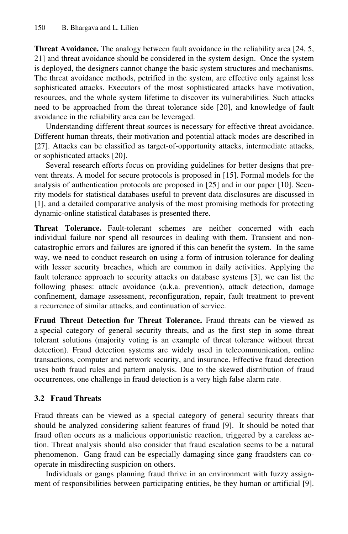**Threat Avoidance.** The analogy between fault avoidance in the reliability area [24, 5, 21] and threat avoidance should be considered in the system design. Once the system is deployed, the designers cannot change the basic system structures and mechanisms. The threat avoidance methods, petrified in the system, are effective only against less sophisticated attacks. Executors of the most sophisticated attacks have motivation, resources, and the whole system lifetime to discover its vulnerabilities. Such attacks need to be approached from the threat tolerance side [20], and knowledge of fault avoidance in the reliability area can be leveraged.

Understanding different threat sources is necessary for effective threat avoidance. Different human threats, their motivation and potential attack modes are described in [27]. Attacks can be classified as target-of-opportunity attacks, intermediate attacks, or sophisticated attacks [20].

Several research efforts focus on providing guidelines for better designs that prevent threats. A model for secure protocols is proposed in [15]. Formal models for the analysis of authentication protocols are proposed in [25] and in our paper [10]. Security models for statistical databases useful to prevent data disclosures are discussed in [1], and a detailed comparative analysis of the most promising methods for protecting dynamic-online statistical databases is presented there.

**Threat Tolerance.** Fault-tolerant schemes are neither concerned with each individual failure nor spend all resources in dealing with them. Transient and noncatastrophic errors and failures are ignored if this can benefit the system. In the same way, we need to conduct research on using a form of intrusion tolerance for dealing with lesser security breaches, which are common in daily activities. Applying the fault tolerance approach to security attacks on database systems [3], we can list the following phases: attack avoidance (a.k.a. prevention), attack detection, damage confinement, damage assessment, reconfiguration, repair, fault treatment to prevent a recurrence of similar attacks, and continuation of service.

**Fraud Threat Detection for Threat Tolerance.** Fraud threats can be viewed as a special category of general security threats, and as the first step in some threat tolerant solutions (majority voting is an example of threat tolerance without threat detection). Fraud detection systems are widely used in telecommunication, online transactions, computer and network security, and insurance. Effective fraud detection uses both fraud rules and pattern analysis. Due to the skewed distribution of fraud occurrences, one challenge in fraud detection is a very high false alarm rate.

### **3.2 Fraud Threats**

Fraud threats can be viewed as a special category of general security threats that should be analyzed considering salient features of fraud [9]. It should be noted that fraud often occurs as a malicious opportunistic reaction, triggered by a careless action. Threat analysis should also consider that fraud escalation seems to be a natural phenomenon. Gang fraud can be especially damaging since gang fraudsters can cooperate in misdirecting suspicion on others.

Individuals or gangs planning fraud thrive in an environment with fuzzy assignment of responsibilities between participating entities, be they human or artificial [9].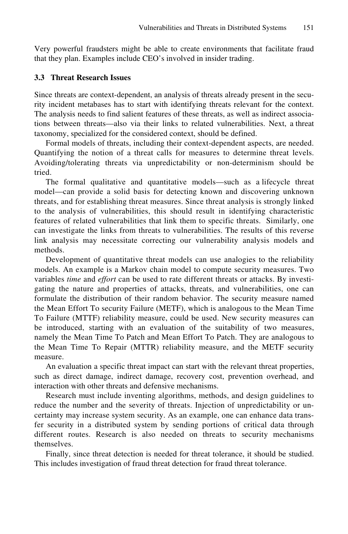Very powerful fraudsters might be able to create environments that facilitate fraud that they plan. Examples include CEO's involved in insider trading.

#### **3.3 Threat Research Issues**

Since threats are context-dependent, an analysis of threats already present in the security incident metabases has to start with identifying threats relevant for the context. The analysis needs to find salient features of these threats, as well as indirect associations between threats—also via their links to related vulnerabilities. Next, a threat taxonomy, specialized for the considered context, should be defined.

Formal models of threats, including their context-dependent aspects, are needed. Quantifying the notion of a threat calls for measures to determine threat levels. Avoiding/tolerating threats via unpredictability or non-determinism should be tried.

The formal qualitative and quantitative models—such as a lifecycle threat model—can provide a solid basis for detecting known and discovering unknown threats, and for establishing threat measures. Since threat analysis is strongly linked to the analysis of vulnerabilities, this should result in identifying characteristic features of related vulnerabilities that link them to specific threats. Similarly, one can investigate the links from threats to vulnerabilities. The results of this reverse link analysis may necessitate correcting our vulnerability analysis models and methods.

Development of quantitative threat models can use analogies to the reliability models. An example is a Markov chain model to compute security measures. Two variables *time* and *effort* can be used to rate different threats or attacks. By investigating the nature and properties of attacks, threats, and vulnerabilities, one can formulate the distribution of their random behavior. The security measure named the Mean Effort To security Failure (METF), which is analogous to the Mean Time To Failure (MTTF) reliability measure, could be used. New security measures can be introduced, starting with an evaluation of the suitability of two measures, namely the Mean Time To Patch and Mean Effort To Patch. They are analogous to the Mean Time To Repair (MTTR) reliability measure, and the METF security measure.

An evaluation a specific threat impact can start with the relevant threat properties, such as direct damage, indirect damage, recovery cost, prevention overhead, and interaction with other threats and defensive mechanisms.

Research must include inventing algorithms, methods, and design guidelines to reduce the number and the severity of threats. Injection of unpredictability or uncertainty may increase system security. As an example, one can enhance data transfer security in a distributed system by sending portions of critical data through different routes. Research is also needed on threats to security mechanisms themselves.

Finally, since threat detection is needed for threat tolerance, it should be studied. This includes investigation of fraud threat detection for fraud threat tolerance.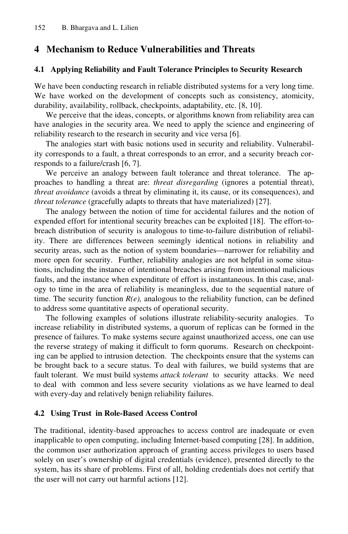# **4 Mechanism to Reduce Vulnerabilities and Threats**

### **4.1 Applying Reliability and Fault Tolerance Principles to Security Research**

We have been conducting research in reliable distributed systems for a very long time. We have worked on the development of concepts such as consistency, atomicity, durability, availability, rollback, checkpoints, adaptability, etc. [8, 10].

We perceive that the ideas, concepts, or algorithms known from reliability area can have analogies in the security area. We need to apply the science and engineering of reliability research to the research in security and vice versa [6].

The analogies start with basic notions used in security and reliability. Vulnerability corresponds to a fault, a threat corresponds to an error, and a security breach corresponds to a failure/crash [6, 7].

We perceive an analogy between fault tolerance and threat tolerance. The approaches to handling a threat are: *threat disregarding* (ignores a potential threat), *threat avoidance* (avoids a threat by eliminating it, its cause, or its consequences), and *threat tolerance* (gracefully adapts to threats that have materialized) [27].

The analogy between the notion of time for accidental failures and the notion of expended effort for intentional security breaches can be exploited [18]. The effort-tobreach distribution of security is analogous to time-to-failure distribution of reliability. There are differences between seemingly identical notions in reliability and security areas, such as the notion of system boundaries—narrower for reliability and more open for security. Further, reliability analogies are not helpful in some situations, including the instance of intentional breaches arising from intentional malicious faults, and the instance when expenditure of effort is instantaneous. In this case, analogy to time in the area of reliability is meaningless, due to the sequential nature of time. The security function  $R(e)$ , analogous to the reliability function, can be defined to address some quantitative aspects of operational security.

The following examples of solutions illustrate reliability-security analogies. To increase reliability in distributed systems, a quorum of replicas can be formed in the presence of failures. To make systems secure against unauthorized access, one can use the reverse strategy of making it difficult to form quorums. Research on checkpointing can be applied to intrusion detection. The checkpoints ensure that the systems can be brought back to a secure status. To deal with failures, we build systems that are fault tolerant. We must build systems *attack tolerant* to security attacks. We need to deal with common and less severe security violations as we have learned to deal with every-day and relatively benign reliability failures.

### **4.2 Using Trust in Role-Based Access Control**

The traditional, identity-based approaches to access control are inadequate or even inapplicable to open computing, including Internet-based computing [28]. In addition, the common user authorization approach of granting access privileges to users based solely on user's ownership of digital credentials (evidence), presented directly to the system, has its share of problems. First of all, holding credentials does not certify that the user will not carry out harmful actions [12].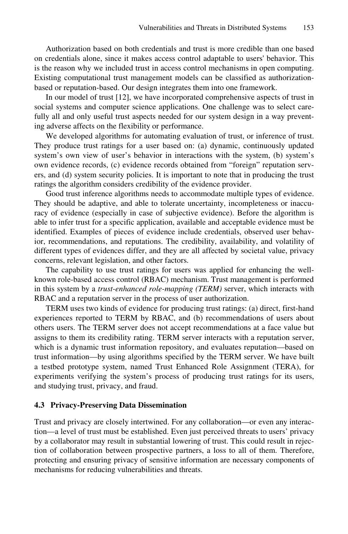Authorization based on both credentials and trust is more credible than one based on credentials alone, since it makes access control adaptable to users' behavior. This is the reason why we included trust in access control mechanisms in open computing. Existing computational trust management models can be classified as authorizationbased or reputation-based. Our design integrates them into one framework.

In our model of trust [12], we have incorporated comprehensive aspects of trust in social systems and computer science applications. One challenge was to select carefully all and only useful trust aspects needed for our system design in a way preventing adverse affects on the flexibility or performance.

We developed algorithms for automating evaluation of trust, or inference of trust. They produce trust ratings for a user based on: (a) dynamic, continuously updated system's own view of user's behavior in interactions with the system, (b) system's own evidence records, (c) evidence records obtained from "foreign" reputation servers, and (d) system security policies. It is important to note that in producing the trust ratings the algorithm considers credibility of the evidence provider.

Good trust inference algorithms needs to accommodate multiple types of evidence. They should be adaptive, and able to tolerate uncertainty, incompleteness or inaccuracy of evidence (especially in case of subjective evidence). Before the algorithm is able to infer trust for a specific application, available and acceptable evidence must be identified. Examples of pieces of evidence include credentials, observed user behavior, recommendations, and reputations. The credibility, availability, and volatility of different types of evidences differ, and they are all affected by societal value, privacy concerns, relevant legislation, and other factors.

The capability to use trust ratings for users was applied for enhancing the wellknown role-based access control (RBAC) mechanism. Trust management is performed in this system by a *trust-enhanced role-mapping (TERM)* server, which interacts with RBAC and a reputation server in the process of user authorization.

TERM uses two kinds of evidence for producing trust ratings: (a) direct, first-hand experiences reported to TERM by RBAC, and (b) recommendations of users about others users. The TERM server does not accept recommendations at a face value but assigns to them its credibility rating. TERM server interacts with a reputation server, which is a dynamic trust information repository, and evaluates reputation—based on trust information—by using algorithms specified by the TERM server. We have built a testbed prototype system, named Trust Enhanced Role Assignment (TERA), for experiments verifying the system's process of producing trust ratings for its users, and studying trust, privacy, and fraud.

#### **4.3 Privacy-Preserving Data Dissemination**

Trust and privacy are closely intertwined. For any collaboration—or even any interaction—a level of trust must be established. Even just perceived threats to users' privacy by a collaborator may result in substantial lowering of trust. This could result in rejection of collaboration between prospective partners, a loss to all of them. Therefore, protecting and ensuring privacy of sensitive information are necessary components of mechanisms for reducing vulnerabilities and threats.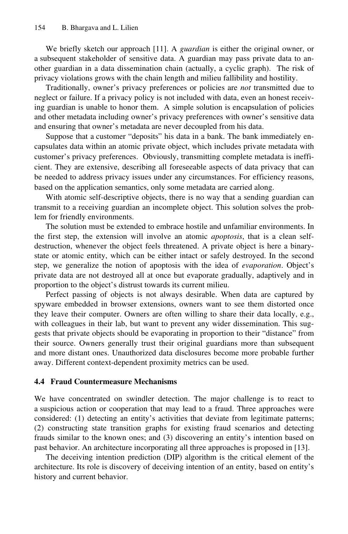We briefly sketch our approach [11]. A *guardian* is either the original owner, or a subsequent stakeholder of sensitive data. A guardian may pass private data to another guardian in a data dissemination chain (actually, a cyclic graph). The risk of privacy violations grows with the chain length and milieu fallibility and hostility.

Traditionally, owner's privacy preferences or policies are *not* transmitted due to neglect or failure. If a privacy policy is not included with data, even an honest receiving guardian is unable to honor them. A simple solution is encapsulation of policies and other metadata including owner's privacy preferences with owner's sensitive data and ensuring that owner's metadata are never decoupled from his data.

Suppose that a customer "deposits" his data in a bank. The bank immediately encapsulates data within an atomic private object, which includes private metadata with customer's privacy preferences. Obviously, transmitting complete metadata is inefficient. They are extensive, describing all foreseeable aspects of data privacy that can be needed to address privacy issues under any circumstances. For efficiency reasons, based on the application semantics, only some metadata are carried along.

With atomic self-descriptive objects, there is no way that a sending guardian can transmit to a receiving guardian an incomplete object. This solution solves the problem for friendly environments.

The solution must be extended to embrace hostile and unfamiliar environments. In the first step, the extension will involve an atomic *apoptosis*, that is a clean selfdestruction, whenever the object feels threatened. A private object is here a binarystate or atomic entity, which can be either intact or safely destroyed. In the second step, we generalize the notion of apoptosis with the idea of *evaporation*. Object's private data are not destroyed all at once but evaporate gradually, adaptively and in proportion to the object's distrust towards its current milieu.

Perfect passing of objects is not always desirable. When data are captured by spyware embedded in browser extensions, owners want to see them distorted once they leave their computer. Owners are often willing to share their data locally, e.g., with colleagues in their lab, but want to prevent any wider dissemination. This suggests that private objects should be evaporating in proportion to their "distance" from their source. Owners generally trust their original guardians more than subsequent and more distant ones. Unauthorized data disclosures become more probable further away. Different context-dependent proximity metrics can be used.

### **4.4 Fraud Countermeasure Mechanisms**

We have concentrated on swindler detection. The major challenge is to react to a suspicious action or cooperation that may lead to a fraud. Three approaches were considered: (1) detecting an entity's activities that deviate from legitimate patterns; (2) constructing state transition graphs for existing fraud scenarios and detecting frauds similar to the known ones; and (3) discovering an entity's intention based on past behavior. An architecture incorporating all three approaches is proposed in [13].

The deceiving intention prediction (DIP) algorithm is the critical element of the architecture. Its role is discovery of deceiving intention of an entity, based on entity's history and current behavior.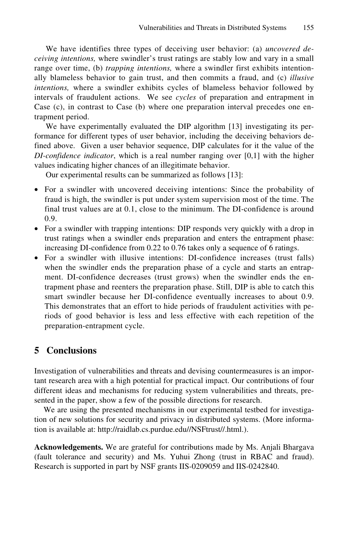We have identifies three types of deceiving user behavior: (a) *uncovered deceiving intentions,* where swindler's trust ratings are stably low and vary in a small range over time, (b) *trapping intentions,* where a swindler first exhibits intentionally blameless behavior to gain trust, and then commits a fraud, and (c) *illusive intentions,* where a swindler exhibits cycles of blameless behavior followed by intervals of fraudulent actions. We see *cycles* of preparation and entrapment in Case (c), in contrast to Case (b) where one preparation interval precedes one entrapment period.

We have experimentally evaluated the DIP algorithm [13] investigating its performance for different types of user behavior, including the deceiving behaviors defined above. Given a user behavior sequence, DIP calculates for it the value of the *DI-confidence indicator*, which is a real number ranging over [0,1] with the higher values indicating higher chances of an illegitimate behavior.

Our experimental results can be summarized as follows [13]:

- For a swindler with uncovered deceiving intentions: Since the probability of fraud is high, the swindler is put under system supervision most of the time. The final trust values are at 0.1, close to the minimum. The DI-confidence is around 0.9.
- For a swindler with trapping intentions: DIP responds very quickly with a drop in trust ratings when a swindler ends preparation and enters the entrapment phase: increasing DI-confidence from 0.22 to 0.76 takes only a sequence of 6 ratings.
- For a swindler with illusive intentions: DI-confidence increases (trust falls) when the swindler ends the preparation phase of a cycle and starts an entrapment. DI-confidence decreases (trust grows) when the swindler ends the entrapment phase and reenters the preparation phase. Still, DIP is able to catch this smart swindler because her DI-confidence eventually increases to about 0.9. This demonstrates that an effort to hide periods of fraudulent activities with periods of good behavior is less and less effective with each repetition of the preparation-entrapment cycle.

## **5 Conclusions**

Investigation of vulnerabilities and threats and devising countermeasures is an important research area with a high potential for practical impact. Our contributions of four different ideas and mechanisms for reducing system vulnerabilities and threats, presented in the paper, show a few of the possible directions for research.

We are using the presented mechanisms in our experimental testbed for investigation of new solutions for security and privacy in distributed systems. (More information is available at: http://raidlab.cs.purdue.edu//NSFtrust//.html.).

**Acknowledgements.** We are grateful for contributions made by Ms. Anjali Bhargava (fault tolerance and security) and Ms. Yuhui Zhong (trust in RBAC and fraud). Research is supported in part by NSF grants IIS-0209059 and IIS-0242840.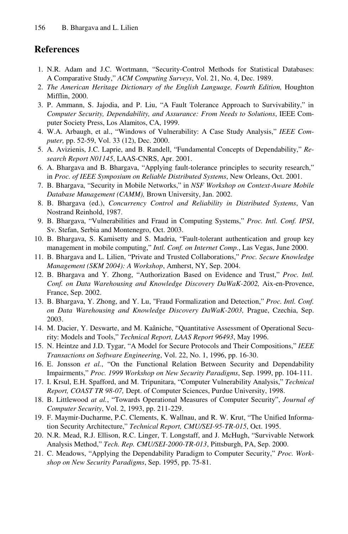# **References**

- 1. N.R. Adam and J.C. Wortmann, "Security-Control Methods for Statistical Databases: A Comparative Study," *ACM Computing Surveys*, Vol. 21, No. 4, Dec. 1989.
- 2. *The American Heritage Dictionary of the English Language, Fourth Edition,* Houghton Mifflin, 2000.
- 3. P. Ammann, S. Jajodia, and P. Liu, "A Fault Tolerance Approach to Survivability," in *Computer Security, Dependability, and Assurance: From Needs to Solutions*, IEEE Computer Society Press, Los Alamitos, CA, 1999.
- 4. W.A. Arbaugh, et al., "Windows of Vulnerability: A Case Study Analysis," *IEEE Computer,* pp. 52-59, Vol. 33 (12), Dec. 2000.
- 5. A. Avizienis, J.C. Laprie, and B. Randell, "Fundamental Concepts of Dependability," *Research Report N01145*, LAAS-CNRS, Apr. 2001.
- 6. A. Bhargava and B. Bhargava, "Applying fault-tolerance principles to security research," in *Proc. of IEEE Symposium on Reliable Distributed Systems*, New Orleans, Oct. 2001.
- 7. B. Bhargava, "Security in Mobile Networks," in *NSF Workshop on Context-Aware Mobile Database Management (CAMM),* Brown University, Jan. 2002.
- 8. B. Bhargava (ed.), *Concurrency Control and Reliability in Distributed Systems*, Van Nostrand Reinhold, 1987.
- 9. B. Bhargava, "Vulnerabilities and Fraud in Computing Systems," *Proc. Intl. Conf. IPSI*, Sv. Stefan, Serbia and Montenegro, Oct. 2003.
- 10. B. Bhargava, S. Kamisetty and S. Madria, "Fault-tolerant authentication and group key management in mobile computing," *Intl. Conf. on Internet Comp.*, Las Vegas, June 2000.
- 11. B. Bhargava and L. Lilien, "Private and Trusted Collaborations," *Proc. Secure Knowledge Management (SKM 2004): A Workshop*, Amherst, NY, Sep. 2004.
- 12. B. Bhargava and Y. Zhong, "Authorization Based on Evidence and Trust," *Proc. Intl. Conf. on Data Warehousing and Knowledge Discovery DaWaK-2002,* Aix-en-Provence, France, Sep. 2002.
- 13. B. Bhargava, Y. Zhong, and Y. Lu, "Fraud Formalization and Detection," *Proc. Intl. Conf. on Data Warehousing and Knowledge Discovery DaWaK-2003,* Prague, Czechia, Sep. 2003.
- 14. M. Dacier, Y. Deswarte, and M. Kaâniche, "Quantitative Assessment of Operational Security: Models and Tools," *Technical Report, LAAS Report 96493*, May 1996.
- 15. N. Heintze and J.D. Tygar, "A Model for Secure Protocols and Their Compositions," *IEEE Transactions on Software Engineering*, Vol. 22, No. 1, 1996, pp. 16-30.
- 16. E. Jonsson *et al.*, "On the Functional Relation Between Security and Dependability Impairments," *Proc. 1999 Workshop on New Security Paradigms*, Sep. 1999, pp. 104-111.
- 17. I. Krsul, E.H. Spafford, and M. Tripunitara, "Computer Vulnerability Analysis," *Technical Report, COAST TR 98-07,* Dept. of Computer Sciences, Purdue University, 1998.
- 18. B. Littlewood *at al.*, "Towards Operational Measures of Computer Security", *Journal of Computer Security*, Vol. 2, 1993, pp. 211-229.
- 19. F. Maymir-Ducharme, P.C. Clements, K. Wallnau, and R. W. Krut, "The Unified Information Security Architecture," *Technical Report, CMU/SEI-95-TR-015*, Oct. 1995.
- 20. N.R. Mead, R.J. Ellison, R.C. Linger, T. Longstaff, and J. McHugh, "Survivable Network Analysis Method," *Tech. Rep. CMU/SEI-2000-TR-013*, Pittsburgh, PA, Sep. 2000.
- 21. C. Meadows, "Applying the Dependability Paradigm to Computer Security," *Proc. Workshop on New Security Paradigms*, Sep. 1995, pp. 75-81.